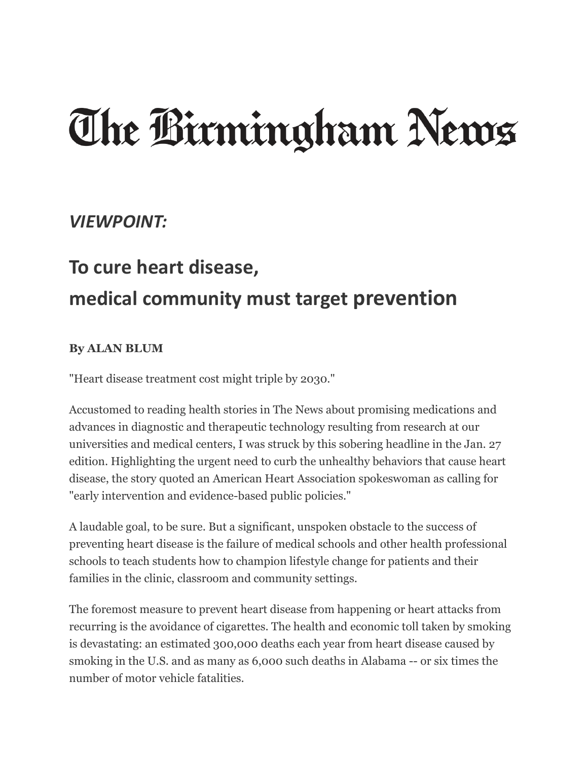## The Birmingham News

## *VIEWPOINT:*

## **To cure heart disease, medical community must target prevention**

## **By ALAN BLUM**

"Heart disease treatment cost might triple by 2030."

Accustomed to reading health stories in The News about promising medications and advances in diagnostic and therapeutic technology resulting from research at our universities and medical centers, I was struck by this sobering headline in the Jan. 27 edition. Highlighting the urgent need to curb the unhealthy behaviors that cause heart disease, the story quoted an American Heart Association spokeswoman as calling for "early intervention and evidence-based public policies."

A laudable goal, to be sure. But a significant, unspoken obstacle to the success of preventing heart disease is the failure of medical schools and other health professional schools to teach students how to champion lifestyle change for patients and their families in the clinic, classroom and community settings.

The foremost measure to prevent heart disease from happening or heart attacks from recurring is the avoidance of cigarettes. The health and economic toll taken by smoking is devastating: an estimated 300,000 deaths each year from heart disease caused by smoking in the U.S. and as many as 6,000 such deaths in Alabama -- or six times the number of motor vehicle fatalities.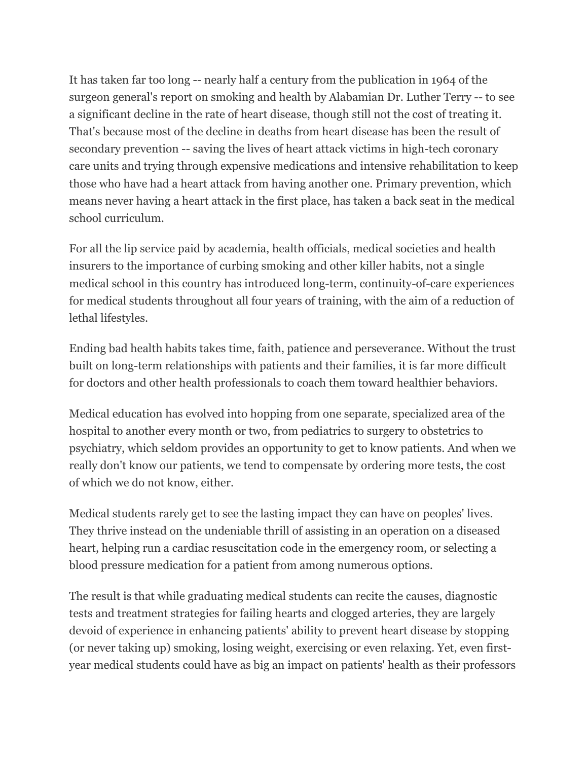It has taken far too long -- nearly half a century from the publication in 1964 of the surgeon general's report on smoking and health by Alabamian Dr. Luther Terry -- to see a significant decline in the rate of heart disease, though still not the cost of treating it. That's because most of the decline in deaths from heart disease has been the result of secondary prevention -- saving the lives of heart attack victims in high-tech coronary care units and trying through expensive medications and intensive rehabilitation to keep those who have had a heart attack from having another one. Primary prevention, which means never having a heart attack in the first place, has taken a back seat in the medical school curriculum.

For all the lip service paid by academia, health officials, medical societies and health insurers to the importance of curbing smoking and other killer habits, not a single medical school in this country has introduced long-term, continuity-of-care experiences for medical students throughout all four years of training, with the aim of a reduction of lethal lifestyles.

Ending bad health habits takes time, faith, patience and perseverance. Without the trust built on long-term relationships with patients and their families, it is far more difficult for doctors and other health professionals to coach them toward healthier behaviors.

Medical education has evolved into hopping from one separate, specialized area of the hospital to another every month or two, from pediatrics to surgery to obstetrics to psychiatry, which seldom provides an opportunity to get to know patients. And when we really don't know our patients, we tend to compensate by ordering more tests, the cost of which we do not know, either.

Medical students rarely get to see the lasting impact they can have on peoples' lives. They thrive instead on the undeniable thrill of assisting in an operation on a diseased heart, helping run a cardiac resuscitation code in the emergency room, or selecting a blood pressure medication for a patient from among numerous options.

The result is that while graduating medical students can recite the causes, diagnostic tests and treatment strategies for failing hearts and clogged arteries, they are largely devoid of experience in enhancing patients' ability to prevent heart disease by stopping (or never taking up) smoking, losing weight, exercising or even relaxing. Yet, even firstyear medical students could have as big an impact on patients' health as their professors